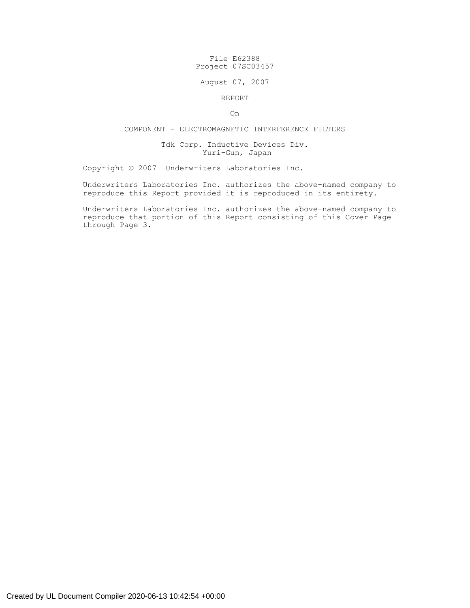# File E62388 Project 07SC03457

### August 07, 2007

#### REPORT

On

# COMPONENT - ELECTROMAGNETIC INTERFERENCE FILTERS

### Tdk Corp. Inductive Devices Div. Yuri-Gun, Japan

Copyright © 2007 Underwriters Laboratories Inc.

Underwriters Laboratories Inc. authorizes the above-named company to reproduce this Report provided it is reproduced in its entirety.

Underwriters Laboratories Inc. authorizes the above-named company to reproduce that portion of this Report consisting of this Cover Page through Page 3.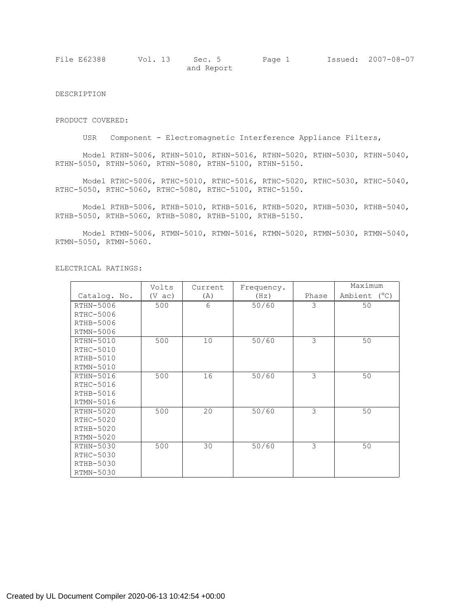| File E62388 | Vol. 13 | Sec. 5     | Page 1 | Issued: 2007-08-07 |
|-------------|---------|------------|--------|--------------------|
|             |         | and Report |        |                    |

DESCRIPTION

PRODUCT COVERED:

USR Component - Electromagnetic Interference Appliance Filters,

Model RTHN-5006, RTHN-5010, RTHN-5016, RTHN-5020, RTHN-5030, RTHN-5040, RTHN-5050, RTHN-5060, RTHN-5080, RTHN-5100, RTHN-5150.

Model RTHC-5006, RTHC-5010, RTHC-5016, RTHC-5020, RTHC-5030, RTHC-5040, RTHC-5050, RTHC-5060, RTHC-5080, RTHC-5100, RTHC-5150.

Model RTHB-5006, RTHB-5010, RTHB-5016, RTHB-5020, RTHB-5030, RTHB-5040, RTHB-5050, RTHB-5060, RTHB-5080, RTHB-5100, RTHB-5150.

Model RTMN-5006, RTMN-5010, RTMN-5016, RTMN-5020, RTMN-5030, RTMN-5040, RTMN-5050, RTMN-5060.

|              | Volts            | Current | Frequency. | Maximum |              |
|--------------|------------------|---------|------------|---------|--------------|
| Catalog. No. | $(V \text{ ac})$ | (A)     | (Hz)       | Phase   | Ambient (°C) |
| RTHN-5006    | 500              | 6       | 50/60      | 3       | 50           |
| RTHC-5006    |                  |         |            |         |              |
| RTHB-5006    |                  |         |            |         |              |
| RTMN-5006    |                  |         |            |         |              |
| RTHN-5010    | 500              | 10      | 50/60      | 3       | 50           |
| RTHC-5010    |                  |         |            |         |              |
| RTHB-5010    |                  |         |            |         |              |
| RTMN-5010    |                  |         |            |         |              |
| RTHN-5016    | 500              | 16      | 50/60      | 3       | 50           |
| RTHC-5016    |                  |         |            |         |              |
| RTHB-5016    |                  |         |            |         |              |
| RTMN-5016    |                  |         |            |         |              |
| $RTHN-5020$  | 500              | 20      | 50/60      | 3       | 50           |
| RTHC-5020    |                  |         |            |         |              |
| RTHB-5020    |                  |         |            |         |              |
| RTMN-5020    |                  |         |            |         |              |
| RTHN-5030    | 500              | 30      | 50/60      | 3       | 50           |
| RTHC-5030    |                  |         |            |         |              |
| RTHB-5030    |                  |         |            |         |              |
| RTMN-5030    |                  |         |            |         |              |

ELECTRICAL RATINGS: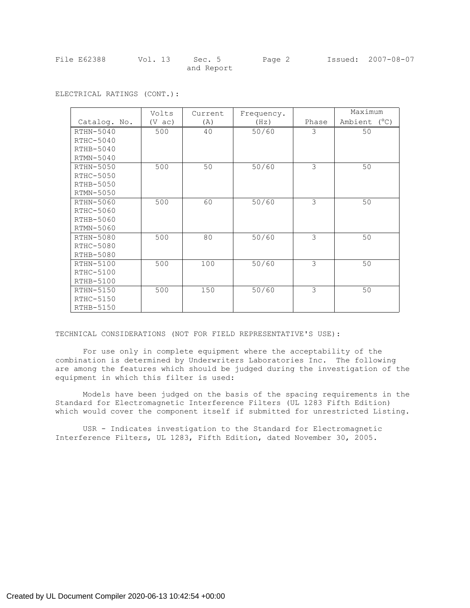| File E62388 | Vol. 13 Sec. 5 | Page 2 | Issued: 2007-08-07 |
|-------------|----------------|--------|--------------------|
|             | and Report     |        |                    |

|              | Volts      | Current | Frequency. |       | Maximum      |
|--------------|------------|---------|------------|-------|--------------|
| Catalog. No. | $(V \tac)$ | (A)     | (Hz)       | Phase | Ambient (°C) |
| $RTHN-5040$  | 500        | 40      | 50/60      | 3     | 50           |
| RTHC-5040    |            |         |            |       |              |
| $RTHB-5040$  |            |         |            |       |              |
| $RTMN-5040$  |            |         |            |       |              |
| RTHN-5050    | 500        | 50      | 50/60      | 3     | 50           |
| RTHC-5050    |            |         |            |       |              |
| RTHB-5050    |            |         |            |       |              |
| RTMN-5050    |            |         |            |       |              |
| RTHN-5060    | 500        | 60      | 50/60      | 3     | 50           |
| RTHC-5060    |            |         |            |       |              |
| RTHB-5060    |            |         |            |       |              |
| RTMN-5060    |            |         |            |       |              |
| RTHN-5080    | 500        | 80      | 50/60      | 3     | 50           |
| RTHC-5080    |            |         |            |       |              |
| RTHB-5080    |            |         |            |       |              |
| RTHN-5100    | 500        | 100     | 50/60      | 3     | 50           |
| RTHC-5100    |            |         |            |       |              |
| RTHB-5100    |            |         |            |       |              |
| RTHN-5150    | 500        | 150     | 50/60      | 3     | 50           |
| RTHC-5150    |            |         |            |       |              |
| RTHB-5150    |            |         |            |       |              |

ELECTRICAL RATINGS (CONT.):

TECHNICAL CONSIDERATIONS (NOT FOR FIELD REPRESENTATIVE'S USE):

For use only in complete equipment where the acceptability of the combination is determined by Underwriters Laboratories Inc. The following are among the features which should be judged during the investigation of the equipment in which this filter is used:

Models have been judged on the basis of the spacing requirements in the Standard for Electromagnetic Interference Filters (UL 1283 Fifth Edition) which would cover the component itself if submitted for unrestricted Listing.

USR - Indicates investigation to the Standard for Electromagnetic Interference Filters, UL 1283, Fifth Edition, dated November 30, 2005.